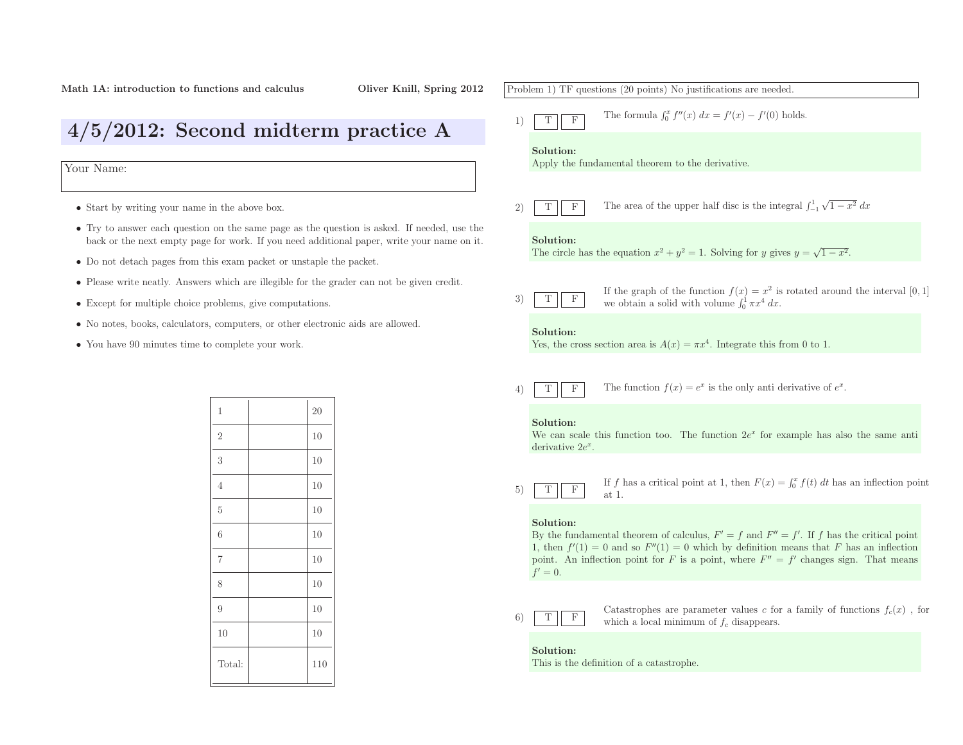# 4/5/2012: Second midterm practice <sup>A</sup>

Your Name:

- Start by writing your name in the above box.
- Try to answer each question on the same page as the question is asked. If needed, use the back or the next empty page for work. If you need additional paper, write your name on it.
- Do not detach pages from this exam packet or unstaple the packet.
- Please write neatly. Answers which are illegible for the grader can not be <sup>g</sup>iven credit.
- Except for multiple choice problems, <sup>g</sup>ive computations.
- No notes, books, calculators, computers, or other electronic aids are allowed.
- You have <sup>90</sup> minutes time to complete your work.

| $\overline{20}$ |
|-----------------|
| 10              |
| 10              |
| 10              |
| 10              |
| 10              |
| 10              |
| 10              |
| 10              |
| 10              |
| 110             |
|                 |

## Problem 1) TF questions (20 points) No justifications are needed. 1)TFThe formula  $\int_0^x f''(x) dx = f'(x) - f'(0)$  holds. Solution: Apply the fundamental theorem to the derivative. 2)TFF The area of the upper half disc is the integral  $\int_{-1}^{1} \sqrt{1 - x^2} \, dx$ Solution:The circle has the equation  $x^2 + y^2 = 1$ . Solving for y gives  $y = \sqrt{1 - x^2}$ . 3)TFIf the graph of the function  $f(x) = x^2$  is<br>we obtain a solid with volume  $\int_0^1 \pi x^4 dx$ .  $2$  is rotated around the interval  $[0, 1]$ Solution:Yes, the cross section area is  $A(x) = \pi x^4$ . Integrate this from 0 to 1. 4)TFF The function  $f(x) = e^x$  is the only anti-derivative of  $e^x$ . Solution:We can scale this function too. The function  $2e^x$  for example has also the same anti derivative  $2e^x$ . 5)TF $\overline{F}$  If f has a critical point at 1, then  $F(x) = \int_0^x f(t) dt$  has an inflection point at 1. at 1. Solution:By the fundamental theorem of calculus,  $F' = f$  and  $F'' = f'$ . If f has the critical point 1, then  $f'(1) = 0$  and so  $F''(1) = 0$  which by definition means that F has an inflection point. An inflection point for F is a point, where  $F'' = f'$  changes sign. That means  $f'=0.$ 6)TFCatastrophes are parameter values c for a family of functions  $f_c(x)$ , for which a local minimum of  $f_c$  disappears. Solution:This is the definition of <sup>a</sup> catastrophe.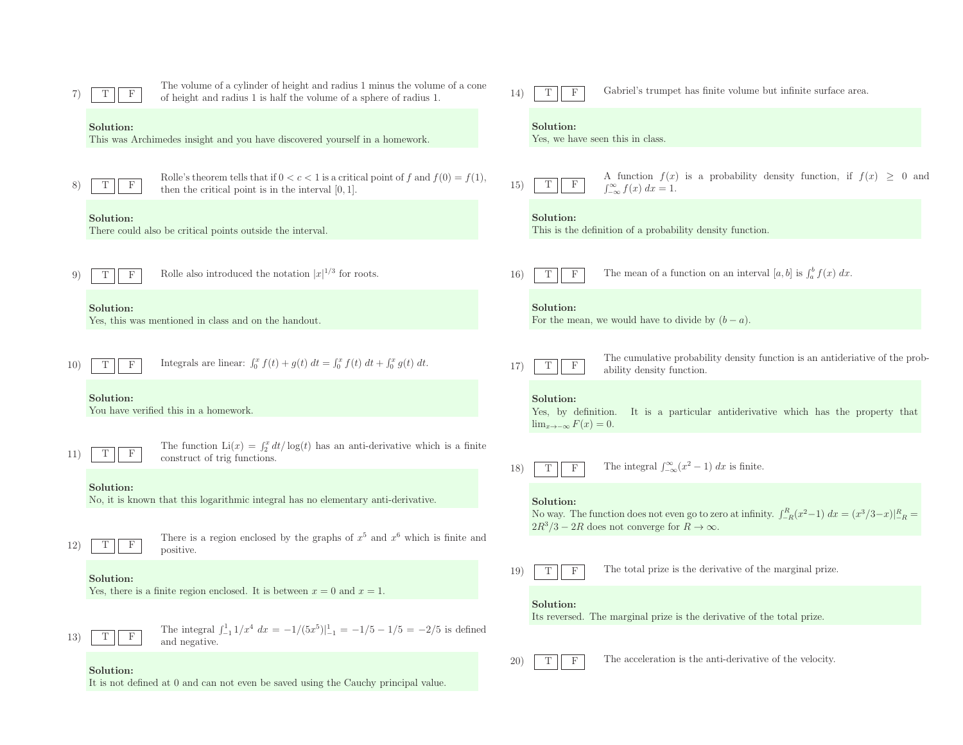|     | T                                                                      | The volume of a cylinder of height and radius 1 minus the volume of a cone<br>of height and radius 1 is half the volume of a sphere of radius 1. | 14)             | Gabriel's trumpet has finite volume but infinite surface area.<br>Т<br>F                                                                |
|-----|------------------------------------------------------------------------|--------------------------------------------------------------------------------------------------------------------------------------------------|-----------------|-----------------------------------------------------------------------------------------------------------------------------------------|
|     | Solution:                                                              | This was Archimedes insight and you have discovered yourself in a homework.                                                                      |                 | Solution:<br>Yes, we have seen this in class.                                                                                           |
|     | $\mathbf{F}$                                                           | Rolle's theorem tells that if $0 < c < 1$ is a critical point of f and $f(0) = f(1)$ ,<br>then the critical point is in the interval $[0, 1]$ .  | 15)             | A function $f(x)$ is a probability density function, if $f(x) \geq 0$ and<br>$\mathbf F$<br>T<br>$\int_{-\infty}^{\infty} f(x) dx = 1.$ |
|     | Solution:<br>There could also be critical points outside the interval. |                                                                                                                                                  |                 | Solution:<br>This is the definition of a probability density function.                                                                  |
| 9   | $\mathbf{F}$                                                           | Rolle also introduced the notation $ x ^{1/3}$ for roots.                                                                                        | <b>16</b> )     | The mean of a function on an interval [a, b] is $\int_a^b f(x) dx$ .<br>T<br>$_{\rm F}$                                                 |
|     | Solution:                                                              | Yes, this was mentioned in class and on the handout.                                                                                             |                 | Solution:<br>For the mean, we would have to divide by $(b-a)$ .                                                                         |
| 10) | T<br>$\mathbf{F}$                                                      | Integrals are linear: $\int_0^x f(t) + g(t) dt = \int_0^x f(t) dt + \int_0^x g(t) dt$ .                                                          | 17)             | The cumulative probability density function is an antideriative of the prob-<br>$\mathbf F$<br>T<br>ability density function.           |
|     | Solution:                                                              | You have verified this in a homework.                                                                                                            |                 | Solution:<br>Yes, by definition. It is a particular antiderivative which has the property that<br>$\lim_{x\to -\infty} F(x) = 0.$       |
| 11) | T<br>F                                                                 | The function $Li(x) = \int_2^x dt/\log(t)$ has an anti-derivative which is a finite<br>construct of trig functions.                              | 18)             | The integral $\int_{-\infty}^{\infty} (x^2 - 1) dx$ is finite.<br>$\mathbf F$<br>T                                                      |
|     | Solution:                                                              | No, it is known that this logarithmic integral has no elementary anti-derivative.                                                                |                 | Solution:<br>No way. The function does not even go to zero at infinity. $\int_{-R}^{R} (x^2-1) dx = (x^3/3-x)\big _{-R}^{R} =$          |
| 12) | $\mathbf{F}$<br>Т                                                      | There is a region enclosed by the graphs of $x^5$ and $x^6$ which is finite and<br>positive.                                                     |                 | $2R^3/3 - 2R$ does not converge for $R \to \infty$ .                                                                                    |
|     | Solution:                                                              | Yes, there is a finite region enclosed. It is between $x = 0$ and $x = 1$ .                                                                      | 19)             | The total prize is the derivative of the marginal prize.<br>$\mathbf F$<br>T                                                            |
| 13) | $_{\rm F}$<br>Т                                                        | The integral $\int_{-1}^{1} 1/x^4 dx = -1/(5x^5)\Big _{-1}^{1} = -1/5 - 1/5 = -2/5$ is defined<br>and negative.                                  |                 | Solution:<br>Its reversed. The marginal prize is the derivative of the total prize.                                                     |
|     | Solution:                                                              | It is not defined at 0 and can not even be saved using the Cauchy principal value.                                                               | 20 <sup>1</sup> | The acceleration is the anti-derivative of the velocity.<br>$\boldsymbol{\mathrm{F}}$<br>Т                                              |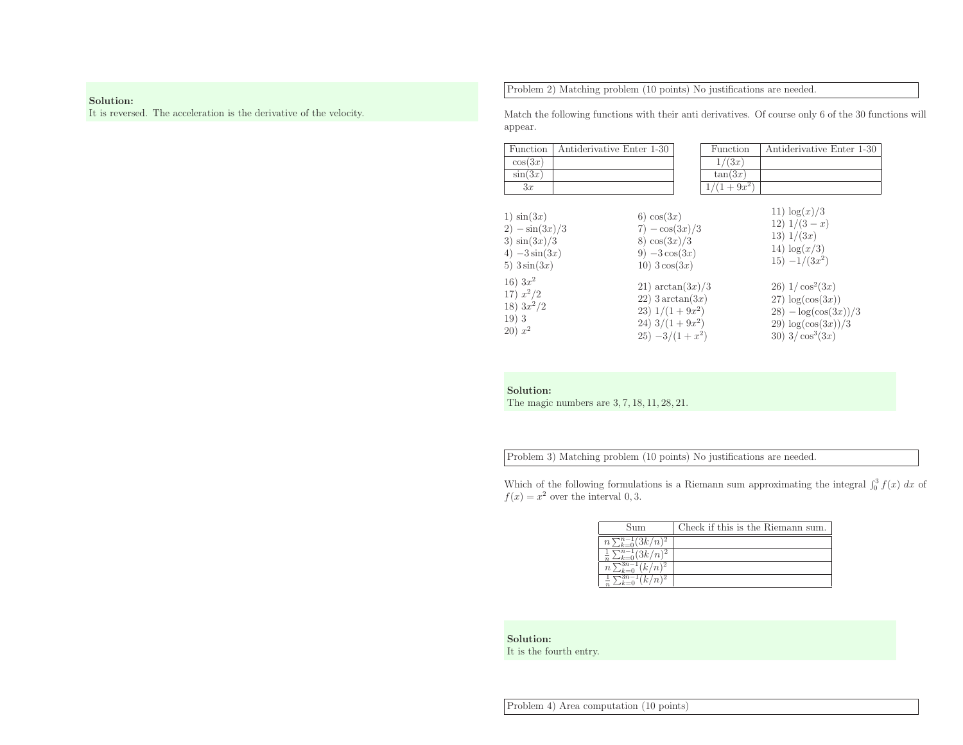### Solution:

It is reversed. The acceleration is the derivative of the velocity.

Problem 2) Matching problem (10 points) No justifications are needed.

Match the following functions with their anti derivatives. Of course only <sup>6</sup> of the <sup>30</sup> functions will appear.

| Function                                                                                                                                                        | Antiderivative Enter 1-30 |                                                                                                                                                                                                               | Function     | Antiderivative Enter 1-30                                                                                                                                                                                       |
|-----------------------------------------------------------------------------------------------------------------------------------------------------------------|---------------------------|---------------------------------------------------------------------------------------------------------------------------------------------------------------------------------------------------------------|--------------|-----------------------------------------------------------------------------------------------------------------------------------------------------------------------------------------------------------------|
| cos(3x)                                                                                                                                                         |                           |                                                                                                                                                                                                               | 1/(3x)       |                                                                                                                                                                                                                 |
| $\sin(3x)$                                                                                                                                                      |                           |                                                                                                                                                                                                               | tan(3x)      |                                                                                                                                                                                                                 |
| 3x                                                                                                                                                              |                           |                                                                                                                                                                                                               | $1/(1+9x^2)$ |                                                                                                                                                                                                                 |
| $1)$ $\sin(3x)$<br>$2) - \sin(3x)/3$<br>3) $\sin(3x)/3$<br>4) $-3\sin(3x)$<br>5) $3\sin(3x)$<br>$16) 3x^2$<br>17) $x^2/2$<br>18) $3x^2/2$<br>19)3<br>$(20) x^2$ |                           | 6) $cos(3x)$<br>$7) - \cos(3x)/3$<br>8) $\cos(3x)/3$<br>9) $-3\cos(3x)$<br>$10)$ 3 $\cos(3x)$<br>$21)$ arctan $(3x)/3$<br>$22)$ 3 arctan $(3x)$<br>23) $1/(1+9x^2)$<br>24) $3/(1+9x^2)$<br>$25) -3/(1 + x^2)$ |              | 11) $\log(x)/3$<br>12) $1/(3-x)$<br>13) 1/(3x)<br>14) $\log(x/3)$<br>$15) - 1/(3x^2)$<br>26) $1/\cos^2(3x)$<br>$27) \log(\cos(3x))$<br>$28) - \log(\cos(3x))/3$<br>29) $\log(\cos(3x))/3$<br>30) $3/\cos^3(3x)$ |

Solution:

The magic numbers are <sup>3</sup>, <sup>7</sup>, <sup>18</sup>, <sup>11</sup>, <sup>28</sup>, 21.

Problem 3) Matching problem (10 points) No justifications are needed.

Which of the following formulations is a Riemann sum approximating the integral  $\int_0^3 f(x) dx$  of  $f(x) = x^2$  over the interval 0, 3.

| Sum                                          | Check if this is the Riemann sum. |
|----------------------------------------------|-----------------------------------|
| $(3k/n)^2$<br>$\cdot$ $\cdot$ $n$ -<br>$\,n$ |                                   |
| (2k/n)                                       |                                   |
| $\boldsymbol{n}$                             |                                   |
|                                              |                                   |
|                                              |                                   |

Solution:It is the fourth entry.

Problem 4) Area computation (10 points)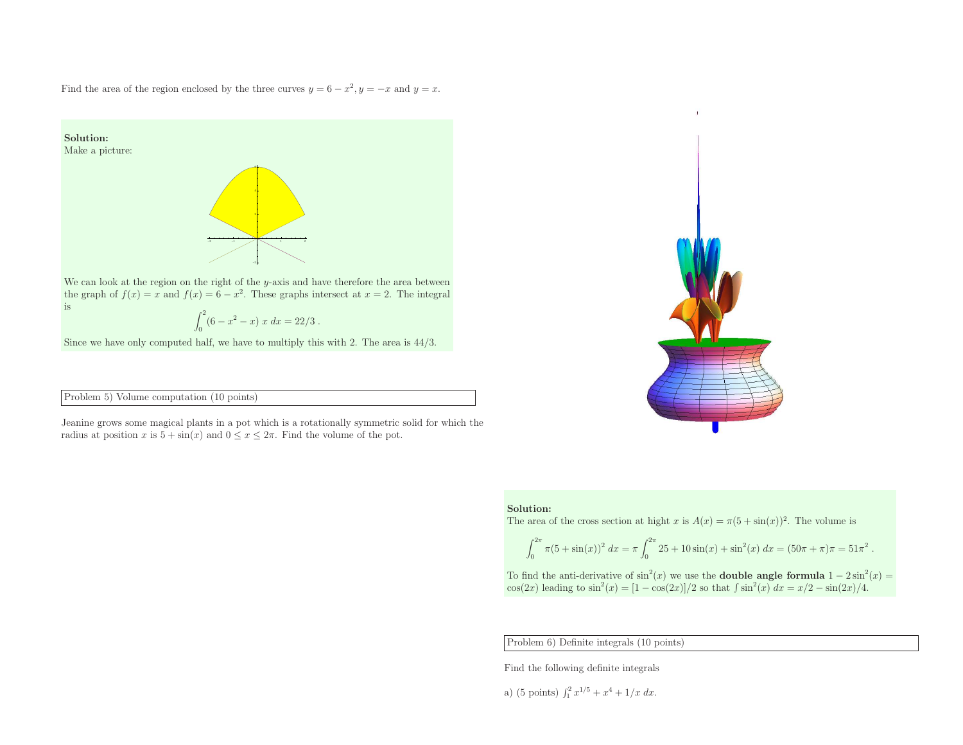Find the area of the region enclosed by the three curves  $y = 6 - x^2, y = -x$  and  $y = x$ .



#### Problem 5) Volume computation (10 points)

Jeanine grows some magical <sup>p</sup>lants in <sup>a</sup> pot which is <sup>a</sup> rotationally symmetric solid for which the radius at position x is  $5 + \sin(x)$  and  $0 \le x \le 2\pi$ . Find the volume of the pot.

#### Solution:

The area of the cross section at hight x is  $A(x) = \pi(5 + \sin(x))^2$ . The volume is

$$
\int_0^{2\pi} \pi (5 + \sin(x))^2 dx = \pi \int_0^{2\pi} 25 + 10 \sin(x) + \sin^2(x) dx = (50\pi + \pi)\pi = 51\pi^2.
$$

To find the anti-derivative of  $\sin^2(x)$  we use the **double angle formula**  $1 - 2\sin^2(x) =$ cos(2x) leading to  $\sin^2(x) = [1 - \cos(2x)]/2$  so that  $\int \sin^2(x) dx = x/2 - \sin(2x)/4$ .

Problem 6) Definite integrals (10 points)

Find the following definite integrals

a) (5 points) 
$$
\int_1^2 x^{1/5} + x^4 + 1/x \ dx
$$
.

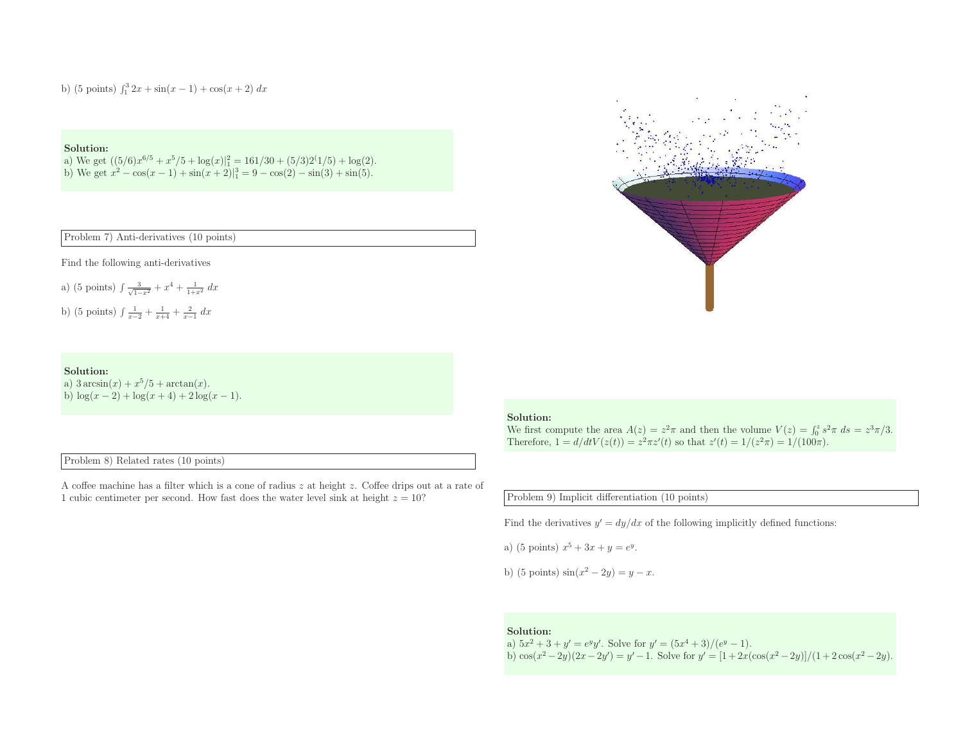b) (5 points)  $\int_1^3 2x + \sin(x - 1) + \cos(x + 2) dx$ 

### Solution:

a) We get  $((5/6)x^{6/5} + x^5/5 + \log(x)|_1^2 = 161/30 + (5/3)2^1/5) + \log(2)$ .<br>b) We get  $x^2 - \cos(x - 1) + \sin(x + 2)|_1^3 = 9 - \cos(2) - \sin(3) + \sin(5)$ .

Problem 7) Anti-derivatives (10 points)

Find the following anti-derivatives

a) (5 points) 
$$
\int \frac{3}{\sqrt{1-x^2}} + x^4 + \frac{1}{1+x^2} dx
$$
  
b) (5 points)  $\int \frac{1}{x-2} + \frac{1}{x+4} + \frac{2}{x-1} dx$ 

#### Solution:

a)  $3 \arcsin(x) + x^5/5 + \arctan(x)$ . b)  $\log(x-2) + \log(x+4) + 2\log(x-1)$ .

Problem 8) Related rates (10 points)

<sup>A</sup> coffee machine has <sup>a</sup> filter which is <sup>a</sup> cone of radius <sup>z</sup> at height <sup>z</sup>. Coffee drips out at <sup>a</sup> rate of 1 cubic centimeter per second. How fast does the water level sink at height  $z = 10$ ?



#### Solution:

We first compute the area  $A(z) = z^2 \pi$  and then the volume  $V(z) = \int_0^z s^2 \pi ds = z^3 \pi/3$ . Therefore,  $1 = d/dtV(z(t)) = z^2\pi z'(t)$  so that  $z'(t) = 1/(z^2\pi) = 1/(100\pi)$ .

Problem 9) Implicit differentiation (10 points)

Find the derivatives  $y' = dy/dx$  of the following implicitly defined functions:

a) (5 points)  $x^5 + 3x + y = e^y$ .

b) (5 points)  $\sin(x^2 - 2y) = y - x$ .

#### Solution:

a)  $5x^2 + 3 + y' = e^y y'$ . Solve for  $y' = (5x^4 + 3)/(e^y - 1)$ .<br>b)  $\cos(x^2 - 2y)(2x - 2y') = y' - 1$ . Solve for  $y' = [1 + 2x(\cos(x^2 - 2y)]/(1 + 2\cos(x^2 - 2y))$ .